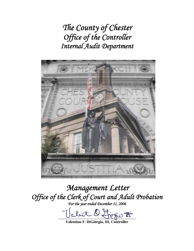*The County of Chester Office of the Controller Internal Audit Department* 



*Management Letter Office of the Clerk of Court and Adult Probation For the year ended December 31, 2006* 

 $l$ ut  $Q$  figgio  $\overline{E}$ 

**Valentino F. DiGiorgio, III, Controller**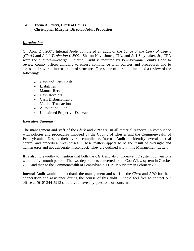# **To: Teena A. Peters, Clerk of Courts Christopher Murphy, Director-Adult Probation**

# *Introduction*

On April 24, 2007, Internal Audit completed an audit of the *Office of the Clerk of Courts (Clerk)* and *Adult Probation (APO)*. Sharon Kaye Jones, CIA, and Jeff Slaymaker, Jr., CPA were the auditors-in-charge. Internal Audit is required by Pennsylvania County Code to review county offices annually to ensure compliance with policies and procedures and to assess their overall internal control structure. The scope of our audit included a review of the following:

- Cash and Petty Cash
- Liabilities
- Manual Receipts
- Cash Receipts
- Cash Disbursements
- Voided Transactions
- Automation Fund
- Unclaimed Property Escheats

# *Executive Summary*

The management and staff of the *Clerk* and *APO* are, in all material respects, in compliance with policies and procedures imposed by the County of Chester and the Commonwealth of Pennsylvania. Despite their overall compliance, Internal Audit did identify several internal control and procedural weaknesses. These matters appear to be the result of oversight and human error and not deliberate misconduct. They are outlined within this Management Letter.

It is also noteworthy to mention that both the *Clerk* and *APO* underwent 2 system conversions within a five month period. The two departments converted to the CourtView system in October 2005 and then to the Commonwealth of Pennsylvania's CPCMS system in February 2006.

Internal Audit would like to thank the management and staff of the *Clerk* and *APO* for their cooperation and assistance during the course of this audit. Please feel free to contact our office at (610) 344-5913 should you have any questions or concerns.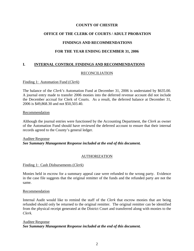# **OFFICE OF THE CLERK OF COURTS / ADULT PROBATION**

# **FINDINGS AND RECOMMENDATIONS**

## **FOR THE YEAR ENDING DECEMBER 31, 2006**

## **I. INTERNAL CONTROL FINDINGS AND RECOMMENDATIONS**

### RECONCILIATION

#### Finding 1: Automation Fund (*Clerk*)

The balance of the *Clerk's* Automation Fund at December 31, 2006 is understated by \$635.00. A journal entry made to transfer 2006 monies into the deferred revenue account did not include the December accrual for Clerk of Courts. As a result, the deferred balance at December 31, 2006 is \$49,868.30 and not \$50,503.40.

#### Recommendation

Although the journal entries were functioned by the Accounting Department, the *Clerk* as owner of the Automation Fund should have reviewed the deferred account to ensure that their internal records agreed to the County's general ledger.

# Auditee Response *See Summary Management Response included at the end of this document.*

### AUTHORIZATION

### Finding 1: Cash Disbursements (*Clerk*)

Monies held in escrow for a summary appeal case were refunded to the wrong party. Evidence in the case file suggests that the original remitter of the funds and the refunded party are not the same.

#### Recommendation

Internal Audit would like to remind the staff of the *Clerk* that escrow monies that are being refunded should only be returned to the original remitter. The original remitter can be identified from the physical receipt generated at the District Court and transferred along with monies to the *Clerk.*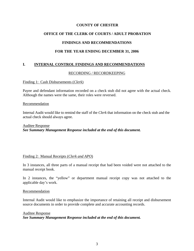# **OFFICE OF THE CLERK OF COURTS / ADULT PROBATION**

# **FINDINGS AND RECOMMENDATIONS**

# **FOR THE YEAR ENDING DECEMBER 31, 2006**

# **I. INTERNAL CONTROL FINDINGS AND RECOMMENDATIONS**

### RECORDING / RECORDKEEPING

#### Finding 1: Cash Disbursements (*Clerk*)

Payee and defendant information recorded on a check stub did not agree with the actual check. Although the names were the same, their roles were reversed.

#### **Recommendation**

Internal Audit would like to remind the staff of the *Clerk* that information on the check stub and the actual check should always agree.

### Auditee Response *See Summary Management Response included at the end of this document.*

#### Finding 2: Manual Receipts (*Clerk and APO*)

In 3 instances, all three parts of a manual receipt that had been voided were not attached to the manual receipt book.

In 2 instances, the "yellow" or department manual receipt copy was not attached to the applicable day's work.

#### Recommendation

Internal Audit would like to emphasize the importance of retaining all receipt and disbursement source documents in order to provide complete and accurate accounting records.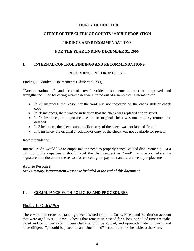# **OFFICE OF THE CLERK OF COURTS / ADULT PROBATION**

# **FINDINGS AND RECOMMENDATIONS**

# **FOR THE YEAR ENDING DECEMBER 31, 2006**

# **I. INTERNAL CONTROL FINDINGS AND RECOMMENDATIONS**

## RECORDING / RECORDKEEPING

## Finding 3: Voided Disbursements (*Clerk and APO*)

"Documentation of" and "controls over" voided disbursements must be improved and strengthened. The following weaknesses were noted out of a sample of 30 items tested:

- In 23 instances, the reason for the void was not indicated on the check stub or check copy.
- In 28 instances, there was no indication that the check was replaced and reissued.
- In 24 instances, the signature line on the original check was not properly removed or defaced.
- In 2 instances, the check stub or office copy of the check was not labeled "void".
- In 1 instance, the original check and/or copy of the check was not available for review.

### Recommendation

Internal Audit would like to emphasize the need to properly cancel voided disbursements. At a minimum, the department should label the disbursement as "void", remove or deface the signature line, document the reason for canceling the payment and reference any replacement.

# Auditee Response *See Summary Management Response included at the end of this document.*

# **II. COMPLIANCE WITH POLICIES AND PROCEDURES**

### Finding 1: Cash (*APO*)

There were numerous outstanding checks issued from the Costs, Fines, and Restitution account that were aged over 60 days. Checks that remain un-cashed for a long period of time are staledated and no longer valid. These checks should be voided, and upon adequate follow-up and "due-diligence", should be placed in an "Unclaimed" account until escheatable to the State.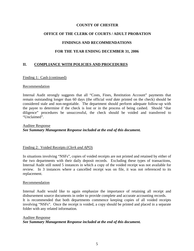# **OFFICE OF THE CLERK OF COURTS / ADULT PROBATION**

# **FINDINGS AND RECOMMENDATIONS**

# **FOR THE YEAR ENDING DECEMBER 31, 2006**

# **II. COMPLIANCE WITH POLICIES AND PROCEDURES**

#### Finding 1: Cash (continued)

#### Recommendation

Internal Audit strongly suggests that all "Costs, Fines, Restitution Account" payments that remain outstanding longer than 60 days (the official *void date* printed on the check) should be considered stale and non-negotiable. The department should perform adequate follow-up with the payee to determine if the check is lost or in the process of being cashed. Should "due diligence" procedures be unsuccessful, the check should be voided and transferred to "Unclaimed".

Auditee Response *See Summary Management Response included at the end of this document.*

### Finding 2: Voided Receipts (*Clerk and APO*)

In situations involving "NSFs", copies of voided receipts are not printed and retained by either of the two departments with their daily deposit records. Excluding these types of transactions, Internal Audit still noted 5 instances in which a copy of the voided receipt was not available for review. In 3 instances where a cancelled receipt was on file, it was not referenced to its replacement.

### **Recommendation**

Internal Audit would like to again emphasize the importance of retaining all receipt and disbursement source documents in order to provide complete and accurate accounting records. It is recommended that both departments commence keeping copies of all voided receipts involving "NSFs". Once the receipt is voided, a copy should be printed and placed in a separate folder with any related information.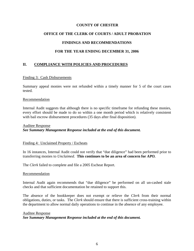# **OFFICE OF THE CLERK OF COURTS / ADULT PROBATION**

# **FINDINGS AND RECOMMENDATIONS**

# **FOR THE YEAR ENDING DECEMBER 31, 2006**

# **II. COMPLIANCE WITH POLICIES AND PROCEDURES**

#### Finding 3: Cash Disbursements

Summary appeal monies were not refunded within a timely manner for 5 of the court cases tested.

#### Recommendation

Internal Audit suggests that although there is no specific timeframe for refunding these monies, every effort should be made to do so within a one month period which is relatively consistent with bail escrow disbursement procedures (35 days after final disposition).

### Auditee Response *See Summary Management Response included at the end of this document.*

### Finding 4: Unclaimed Property / Escheats

In 16 instances, Internal Audit could not verify that "due diligence" had been performed prior to transferring monies to *Unclaimed*. **This continues to be an area of concern for** *APO.*

The *Clerk* failed to complete and file a 2005 Escheat Report.

#### Recommendation

Internal Audit again recommends that "due diligence" be performed on all un-cashed stale checks and that sufficient documentation be retained to support this.

The absence of the bookkeeper does not exempt or relieve the *Clerk* from their normal obligations, duties, or tasks. The *Clerk* should ensure that there is sufficient cross-training within the department to allow normal daily operations to continue in the absence of any employee.